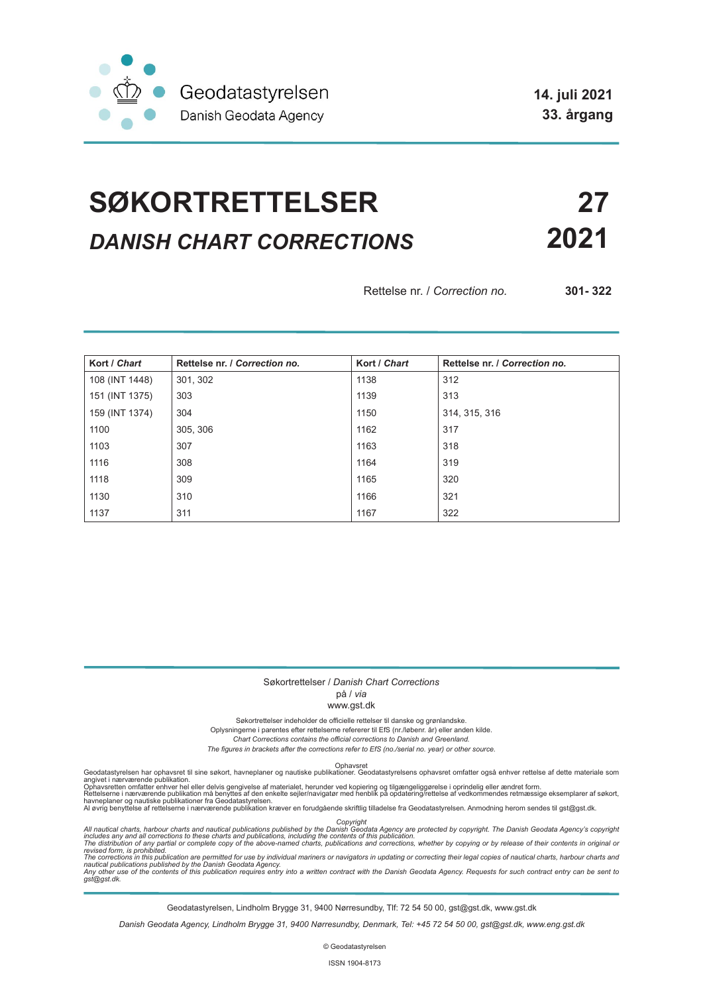

**14. juli 2021 33. årgang**

## **SØKORTRETTELSER 27** *DANISH CHART CORRECTIONS* **2021**

Rettelse nr. / *Correction no.* **301- 322**

| Kort / Chart   | Rettelse nr. / Correction no. | Kort / Chart | Rettelse nr. / Correction no. |
|----------------|-------------------------------|--------------|-------------------------------|
| 108 (INT 1448) | 301, 302                      | 1138         | 312                           |
| 151 (INT 1375) | 303                           | 1139         | 313                           |
| 159 (INT 1374) | 304                           | 1150         | 314, 315, 316                 |
| 1100           | 305, 306                      | 1162         | 317                           |
| 1103           | 307                           | 1163         | 318                           |
| 1116           | 308                           | 1164         | 319                           |
| 1118           | 309                           | 1165         | 320                           |
| 1130           | 310                           | 1166         | 321                           |
| 1137           | 311                           | 1167         | 322                           |

#### Søkortrettelser / *Danish Chart Corrections*

på / *via*

www.gst.dk

Søkortrettelser indeholder de officielle rettelser til danske og grønlandske.

Oplysningerne i parentes efter rettelserne refererer til EfS (nr./løbenr. år) eller anden kilde.

*Chart Corrections contains the official corrections to Danish and Greenland. The figures in brackets after the corrections refer to EfS (no./serial no. year) or other source.*

Ophavsret Geodatastyrelsen har ophavsret til sine søkort, havneplaner og nautiske publikationer. Geodatastyrelsens ophavsret omfatter også enhver rettelse af dette materiale som

angivet i nærværende publikation.<br>Ophavsretten omfatter enhver hel eller delvis gengivelse af materialet, herunder ved kopiering og tilgængeliggørelse i oprindelig eller ændret form.<br>Rettelserne i nærværende publikation må

Copyright<br>includes any and all corrections to these charts and publications published by the Danish Agency are protected by copyright. The Danish Geodata Agency's copyright<br>includes any and all corrections to these charts

Geodatastyrelsen, Lindholm Brygge 31, 9400 Nørresundby, Tlf: 72 54 50 00, gst@gst.dk, www.gst.dk

*Danish Geodata Agency, Lindholm Brygge 31, 9400 Nørresundby, Denmark, Tel: +45 72 54 50 00, gst@gst.dk, www.eng.gst.dk*

© Geodatastyrelsen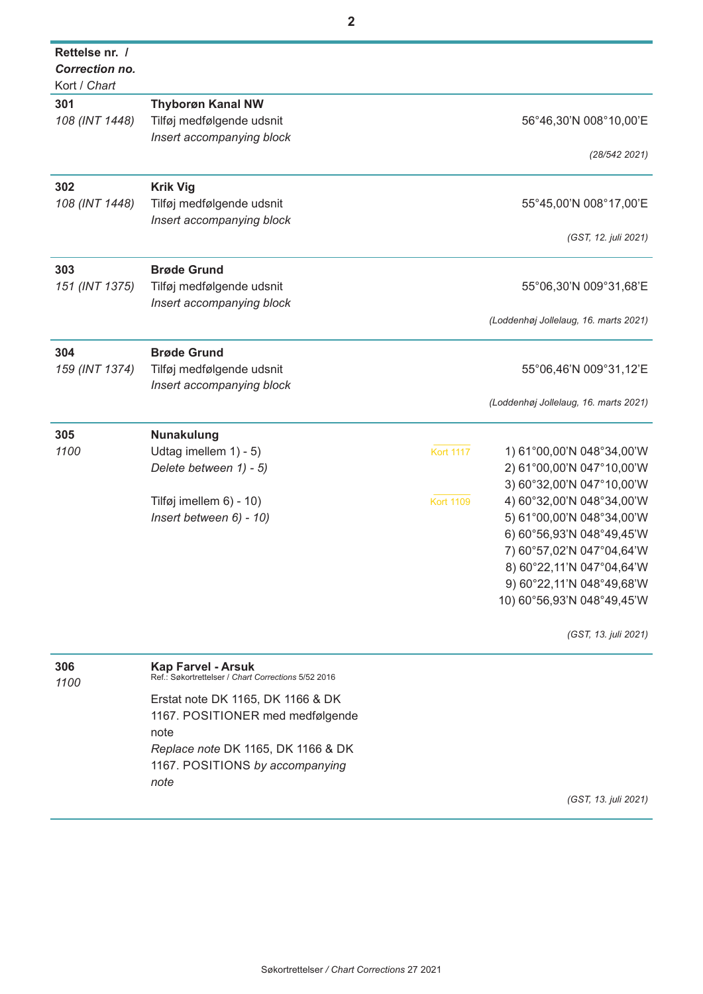| Rettelse nr. /        |                                                                                  |                  |                                       |
|-----------------------|----------------------------------------------------------------------------------|------------------|---------------------------------------|
| <b>Correction no.</b> |                                                                                  |                  |                                       |
| Kort / Chart          |                                                                                  |                  |                                       |
| 301                   | <b>Thyborøn Kanal NW</b>                                                         |                  |                                       |
| 108 (INT 1448)        | Tilføj medfølgende udsnit                                                        |                  | 56°46,30'N 008°10,00'E                |
|                       | Insert accompanying block                                                        |                  |                                       |
|                       |                                                                                  |                  | (28/542 2021)                         |
| 302                   | <b>Krik Vig</b>                                                                  |                  |                                       |
| 108 (INT 1448)        | Tilføj medfølgende udsnit                                                        |                  | 55°45,00'N 008°17,00'E                |
|                       | Insert accompanying block                                                        |                  |                                       |
|                       |                                                                                  |                  | (GST, 12. juli 2021)                  |
| 303                   | <b>Brøde Grund</b>                                                               |                  |                                       |
| 151 (INT 1375)        | Tilføj medfølgende udsnit                                                        |                  | 55°06,30'N 009°31,68'E                |
|                       | Insert accompanying block                                                        |                  |                                       |
|                       |                                                                                  |                  | (Loddenhøj Jollelaug, 16. marts 2021) |
| 304                   | <b>Brøde Grund</b>                                                               |                  |                                       |
| 159 (INT 1374)        | Tilføj medfølgende udsnit                                                        |                  | 55°06,46'N 009°31,12'E                |
|                       | Insert accompanying block                                                        |                  |                                       |
|                       |                                                                                  |                  | (Loddenhøj Jollelaug, 16. marts 2021) |
| 305                   | Nunakulung                                                                       |                  |                                       |
| 1100                  | Udtag imellem 1) - 5)                                                            | <b>Kort 1117</b> | 1) 61°00,00'N 048°34,00'W             |
|                       | Delete between 1) - 5)                                                           |                  | 2) 61°00,00'N 047°10,00'W             |
|                       |                                                                                  |                  | 3) 60°32,00'N 047°10,00'W             |
|                       | Tilføj imellem 6) - 10)                                                          | <b>Kort 1109</b> | 4) 60°32,00'N 048°34,00'W             |
|                       | Insert between 6) - 10)                                                          |                  | 5) 61°00,00'N 048°34,00'W             |
|                       |                                                                                  |                  | 6) 60°56,93'N 048°49,45'W             |
|                       |                                                                                  |                  | 7) 60°57,02'N 047°04,64'W             |
|                       |                                                                                  |                  | 8) 60°22, 11'N 047°04, 64'W           |
|                       |                                                                                  |                  | 9) 60°22, 11'N 048°49, 68'W           |
|                       |                                                                                  |                  | 10) 60°56,93'N 048°49,45'W            |
|                       |                                                                                  |                  | (GST, 13. juli 2021)                  |
| 306<br>1100           | <b>Kap Farvel - Arsuk</b><br>Ref.: Søkortrettelser / Chart Corrections 5/52 2016 |                  |                                       |

Erstat note DK 1165, DK 1166 & DK 1167. POSITIONER med medfølgende note *Replace note* DK 1165, DK 1166 & DK 1167. POSITIONS *by accompanying note*

*(GST, 13. juli 2021)*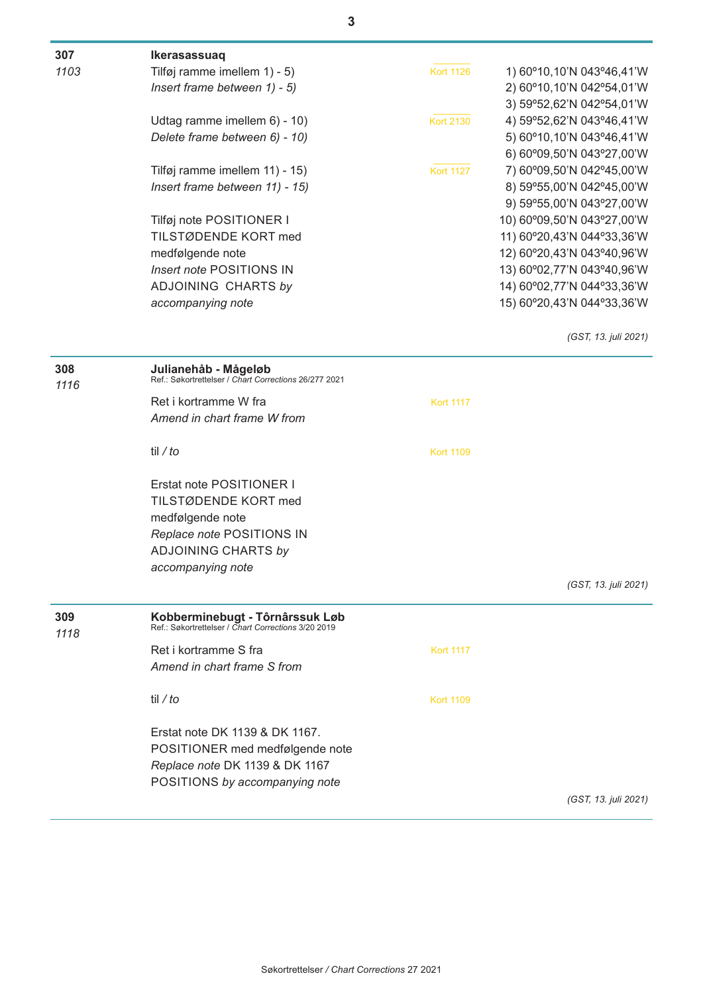| 307  | Ikerasassuaq                                                                  |                  |                            |
|------|-------------------------------------------------------------------------------|------------------|----------------------------|
| 1103 | Tilføj ramme imellem 1) - 5)                                                  | <b>Kort 1126</b> | 1) 60°10,10'N 043°46,41'W  |
|      | Insert frame between 1) - 5)                                                  |                  | 2) 60°10,10'N 042°54,01'W  |
|      |                                                                               |                  | 3) 59°52,62'N 042°54,01'W  |
|      | Udtag ramme imellem 6) - 10)                                                  | <b>Kort 2130</b> | 4) 59°52,62'N 043°46,41'W  |
|      | Delete frame between 6) - 10)                                                 |                  | 5) 60°10,10'N 043°46,41'W  |
|      |                                                                               |                  | 6) 60°09,50'N 043°27,00'W  |
|      | Tilføj ramme imellem 11) - 15)                                                | <b>Kort 1127</b> | 7) 60°09,50'N 042°45,00'W  |
|      | Insert frame between 11) - 15)                                                |                  | 8) 59°55,00'N 042°45,00'W  |
|      |                                                                               |                  | 9) 59°55,00'N 043°27,00'W  |
|      | Tilføj note POSITIONER I                                                      |                  | 10) 60°09,50'N 043°27,00'W |
|      | TILSTØDENDE KORT med                                                          |                  | 11) 60°20,43'N 044°33,36'W |
|      | medfølgende note                                                              |                  | 12) 60°20,43'N 043°40,96'W |
|      | Insert note POSITIONS IN                                                      |                  | 13) 60°02,77'N 043°40,96'W |
|      | ADJOINING CHARTS by                                                           |                  | 14) 60°02,77'N 044°33,36'W |
|      | accompanying note                                                             |                  | 15) 60°20,43'N 044°33,36'W |
|      |                                                                               |                  | (GST, 13. juli 2021)       |
| 308  | Julianehåb - Mågeløb<br>Ref.: Søkortrettelser / Chart Corrections 26/277 2021 |                  |                            |
| 1116 |                                                                               |                  |                            |
|      | Ret i kortramme W fra                                                         | <b>Kort 1117</b> |                            |
|      | Amend in chart frame W from                                                   |                  |                            |
|      | til / to                                                                      | <b>Kort 1109</b> |                            |
|      | Erstat note POSITIONER I                                                      |                  |                            |
|      | TILSTØDENDE KORT med                                                          |                  |                            |
|      | medfølgende note                                                              |                  |                            |
|      | Replace note POSITIONS IN                                                     |                  |                            |
|      | <b>ADJOINING CHARTS by</b>                                                    |                  |                            |
|      | accompanying note                                                             |                  |                            |
|      |                                                                               |                  | (GST, 13. juli 2021)       |
| 309  | Kobberminebugt - Tôrnârssuk Løb                                               |                  |                            |
| 1118 | Ref.: Søkortrettelser / Chart Corrections 3/20 2019                           |                  |                            |
|      | Ret i kortramme S fra                                                         | <b>Kort 1117</b> |                            |
|      | Amend in chart frame S from                                                   |                  |                            |
|      | til / to                                                                      | <b>Kort 1109</b> |                            |
|      | Erstat note DK 1139 & DK 1167.                                                |                  |                            |
|      | POSITIONER med medfølgende note                                               |                  |                            |
|      | Replace note DK 1139 & DK 1167                                                |                  |                            |
|      | POSITIONS by accompanying note                                                |                  |                            |
|      |                                                                               |                  | (GST, 13. juli 2021)       |
|      |                                                                               |                  |                            |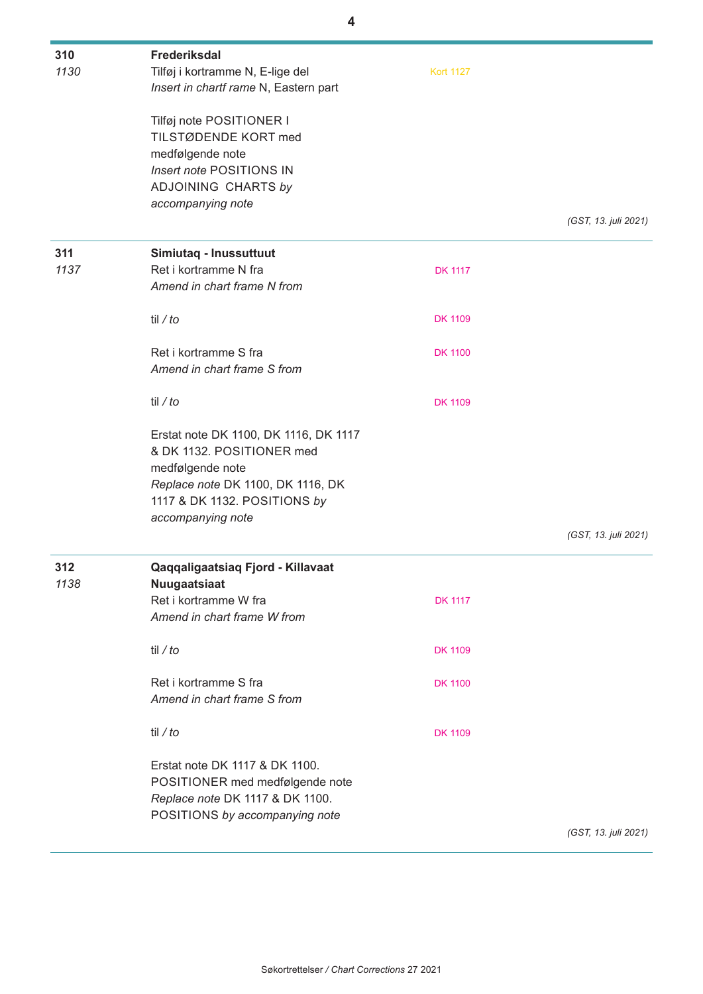| 310<br>1130 | Frederiksdal<br>Tilføj i kortramme N, E-lige del<br>Insert in chartf rame N, Eastern part                                                                                        | <b>Kort 1127</b> |                      |
|-------------|----------------------------------------------------------------------------------------------------------------------------------------------------------------------------------|------------------|----------------------|
|             | Tilføj note POSITIONER I<br>TILSTØDENDE KORT med<br>medfølgende note<br>Insert note POSITIONS IN<br>ADJOINING CHARTS by<br>accompanying note                                     |                  |                      |
|             |                                                                                                                                                                                  |                  | (GST, 13. juli 2021) |
| 311<br>1137 | Simiutaq - Inussuttuut<br>Ret i kortramme N fra<br>Amend in chart frame N from                                                                                                   | <b>DK 1117</b>   |                      |
|             | til / $to$                                                                                                                                                                       | <b>DK 1109</b>   |                      |
|             | Ret i kortramme S fra<br>Amend in chart frame S from                                                                                                                             | <b>DK 1100</b>   |                      |
|             | til / $to$                                                                                                                                                                       | <b>DK 1109</b>   |                      |
|             | Erstat note DK 1100, DK 1116, DK 1117<br>& DK 1132. POSITIONER med<br>medfølgende note<br>Replace note DK 1100, DK 1116, DK<br>1117 & DK 1132. POSITIONS by<br>accompanying note |                  |                      |
|             |                                                                                                                                                                                  |                  | (GST, 13. juli 2021) |
| 312<br>1138 | Qaqqaligaatsiaq Fjord - Killavaat<br>Nuugaatsiaat<br>Ret i kortramme W fra<br>Amend in chart frame W from                                                                        | <b>DK 1117</b>   |                      |
|             | til / $to$                                                                                                                                                                       | <b>DK 1109</b>   |                      |
|             | Ret i kortramme S fra<br>Amend in chart frame S from                                                                                                                             | <b>DK 1100</b>   |                      |
|             | til / to                                                                                                                                                                         | <b>DK 1109</b>   |                      |
|             | Erstat note DK 1117 & DK 1100.<br>POSITIONER med medfølgende note<br>Replace note DK 1117 & DK 1100.<br>POSITIONS by accompanying note                                           |                  |                      |
|             |                                                                                                                                                                                  |                  | (GST, 13. juli 2021) |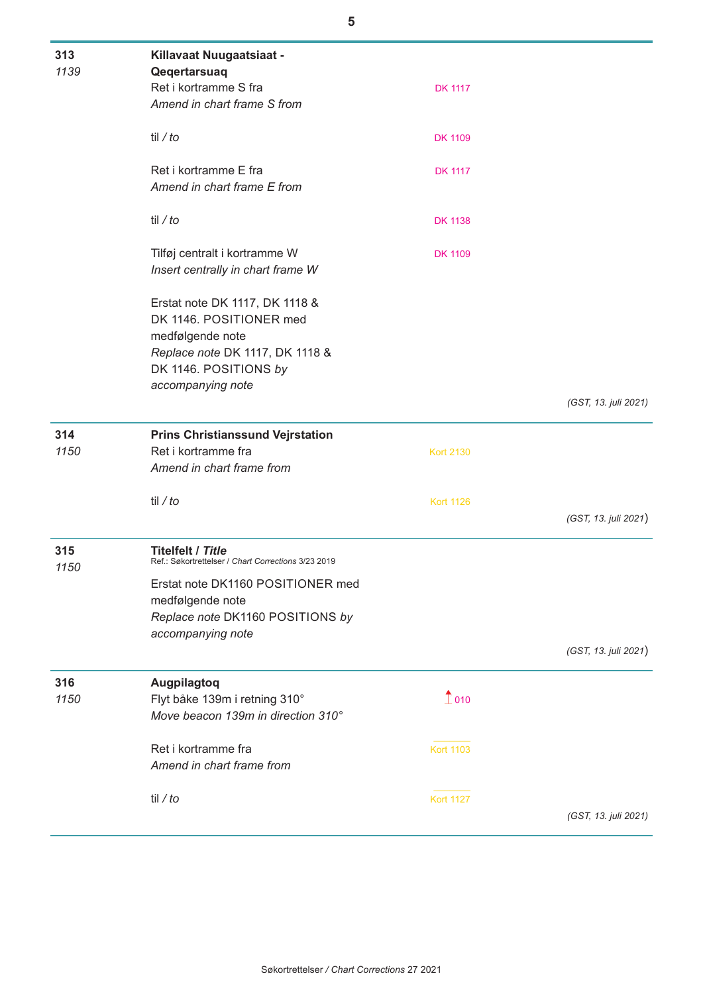| 313<br>1139 | Killavaat Nuugaatsiaat -                                                                                                                  |                        |                      |
|-------------|-------------------------------------------------------------------------------------------------------------------------------------------|------------------------|----------------------|
|             | Qeqertarsuaq<br>Ret i kortramme S fra<br>Amend in chart frame S from                                                                      | <b>DK 1117</b>         |                      |
|             | til / to                                                                                                                                  | <b>DK 1109</b>         |                      |
|             | Ret i kortramme E fra<br>Amend in chart frame E from                                                                                      | <b>DK 1117</b>         |                      |
|             | til / to                                                                                                                                  | <b>DK 1138</b>         |                      |
|             | Tilføj centralt i kortramme W<br>Insert centrally in chart frame W                                                                        | <b>DK 1109</b>         |                      |
|             | Erstat note DK 1117, DK 1118 &<br>DK 1146. POSITIONER med<br>medfølgende note<br>Replace note DK 1117, DK 1118 &<br>DK 1146. POSITIONS by |                        |                      |
|             | accompanying note                                                                                                                         |                        |                      |
|             |                                                                                                                                           |                        | (GST, 13. juli 2021) |
| 314<br>1150 | <b>Prins Christianssund Vejrstation</b><br>Ret i kortramme fra<br>Amend in chart frame from                                               | <b>Kort 2130</b>       |                      |
|             | til / $to$                                                                                                                                | <b>Kort 1126</b>       | (GST, 13. juli 2021) |
| 315<br>1150 | <b>Titelfelt / Title</b><br>Ref.: Søkortrettelser / Chart Corrections 3/23 2019                                                           |                        |                      |
|             | Erstat note DK1160 POSITIONER med<br>medfølgende note<br>Replace note DK1160 POSITIONS by<br>accompanying note                            |                        |                      |
|             |                                                                                                                                           |                        | (GST, 13. juli 2021) |
| 316<br>1150 | Augpilagtoq<br>Flyt båke 139m i retning 310°<br>Move beacon 139m in direction 310°                                                        | $\hat{\mathbb{1}}$ 010 |                      |
|             | Ret i kortramme fra<br>Amend in chart frame from                                                                                          | <b>Kort 1103</b>       |                      |
|             | til / to                                                                                                                                  | <b>Kort 1127</b>       | (GST, 13. juli 2021) |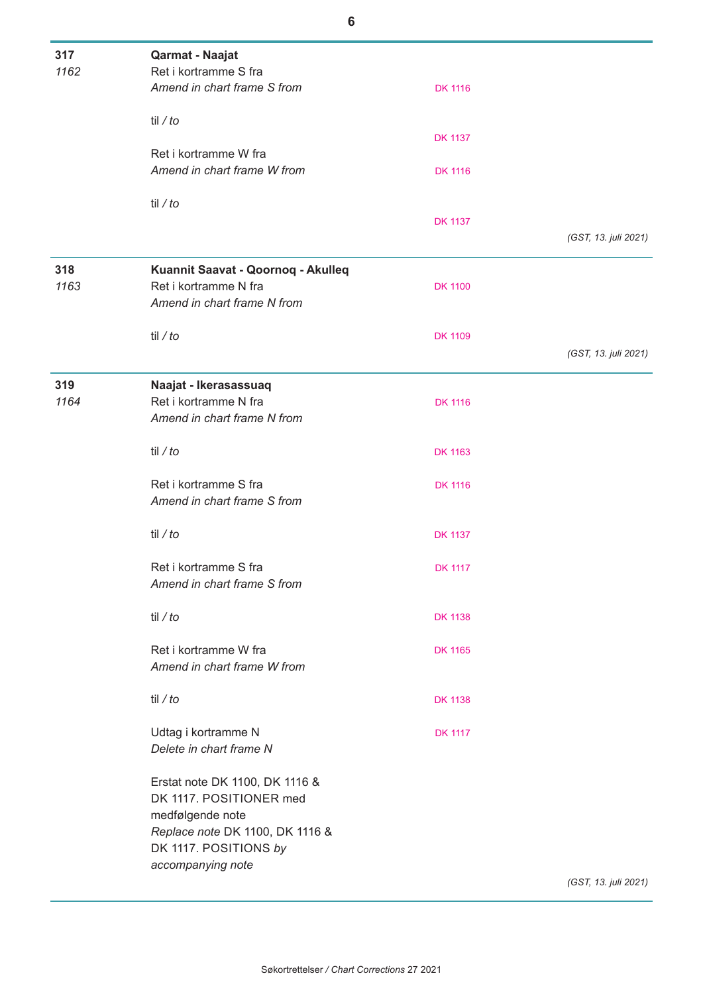| 317<br>1162 | Qarmat - Naajat<br>Ret i kortramme S fra             |                |                      |
|-------------|------------------------------------------------------|----------------|----------------------|
|             | Amend in chart frame S from                          | <b>DK 1116</b> |                      |
|             | til / to                                             |                |                      |
|             |                                                      | <b>DK 1137</b> |                      |
|             | Ret i kortramme W fra<br>Amend in chart frame W from | <b>DK 1116</b> |                      |
|             | til / to                                             |                |                      |
|             |                                                      | <b>DK 1137</b> |                      |
|             |                                                      |                | (GST, 13. juli 2021) |
| 318         | Kuannit Saavat - Qoornoq - Akulleq                   |                |                      |
| 1163        | Ret i kortramme N fra                                | <b>DK 1100</b> |                      |
|             | Amend in chart frame N from                          |                |                      |
|             | til / to                                             | <b>DK 1109</b> |                      |
|             |                                                      |                | (GST, 13. juli 2021) |
| 319         | Naajat - Ikerasassuaq                                |                |                      |
| 1164        | Ret i kortramme N fra                                | <b>DK 1116</b> |                      |
|             | Amend in chart frame N from                          |                |                      |
|             | til / to                                             |                |                      |
|             |                                                      | <b>DK 1163</b> |                      |
|             | Ret i kortramme S fra                                | <b>DK 1116</b> |                      |
|             | Amend in chart frame S from                          |                |                      |
|             | til / to                                             | <b>DK 1137</b> |                      |
|             |                                                      |                |                      |
|             | Ret i kortramme S fra                                | <b>DK 1117</b> |                      |
|             | Amend in chart frame S from                          |                |                      |
|             | til / to                                             | <b>DK 1138</b> |                      |
|             |                                                      |                |                      |
|             | Ret i kortramme W fra                                | <b>DK 1165</b> |                      |
|             | Amend in chart frame W from                          |                |                      |
|             | til / to                                             | <b>DK 1138</b> |                      |
|             |                                                      |                |                      |
|             | Udtag i kortramme N                                  | <b>DK 1117</b> |                      |
|             | Delete in chart frame N                              |                |                      |
|             | Erstat note DK 1100, DK 1116 &                       |                |                      |
|             | DK 1117. POSITIONER med                              |                |                      |
|             | medfølgende note                                     |                |                      |
|             | Replace note DK 1100, DK 1116 &                      |                |                      |
|             | DK 1117. POSITIONS by                                |                |                      |
|             | accompanying note                                    |                | (GST, 13. juli 2021) |
|             |                                                      |                |                      |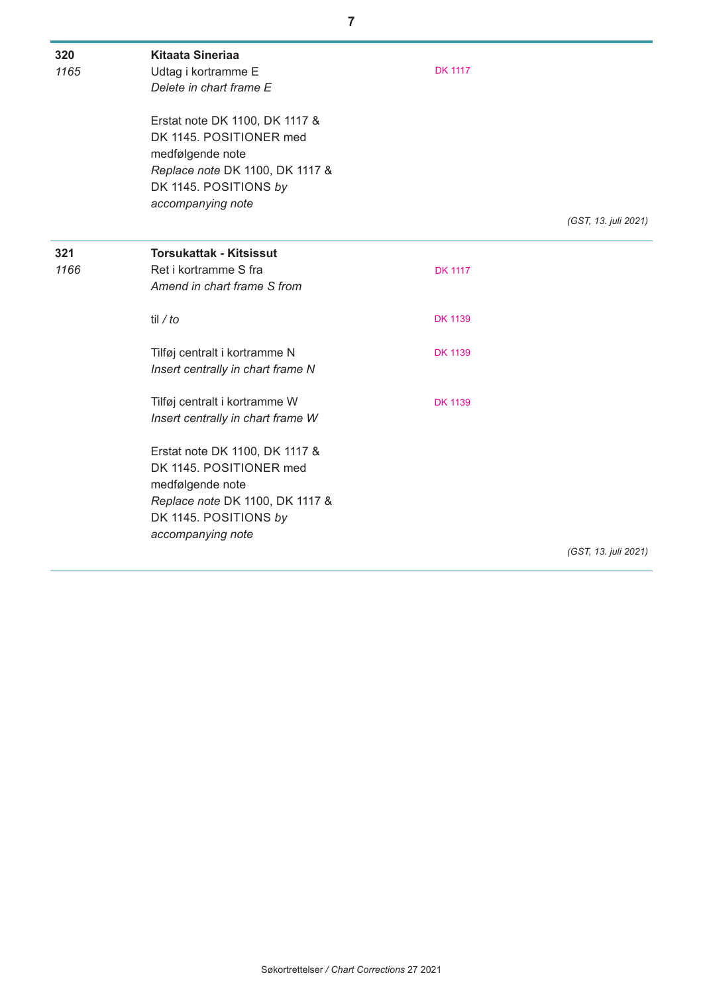| 320  | <b>Kitaata Sineriaa</b>           |                |                      |
|------|-----------------------------------|----------------|----------------------|
| 1165 | Udtag i kortramme E               | <b>DK 1117</b> |                      |
|      | Delete in chart frame E           |                |                      |
|      | Erstat note DK 1100, DK 1117 &    |                |                      |
|      | DK 1145. POSITIONER med           |                |                      |
|      | medfølgende note                  |                |                      |
|      | Replace note DK 1100, DK 1117 &   |                |                      |
|      | DK 1145. POSITIONS by             |                |                      |
|      | accompanying note                 |                |                      |
|      |                                   |                | (GST, 13. juli 2021) |
| 321  | <b>Torsukattak - Kitsissut</b>    |                |                      |
| 1166 | Ret i kortramme S fra             | <b>DK 1117</b> |                      |
|      | Amend in chart frame S from       |                |                      |
|      | til / to                          | <b>DK 1139</b> |                      |
|      | Tilføj centralt i kortramme N     | <b>DK 1139</b> |                      |
|      | Insert centrally in chart frame N |                |                      |
|      | Tilføj centralt i kortramme W     | <b>DK 1139</b> |                      |
|      | Insert centrally in chart frame W |                |                      |
|      | Erstat note DK 1100, DK 1117 &    |                |                      |
|      | DK 1145. POSITIONER med           |                |                      |
|      | medfølgende note                  |                |                      |
|      | Replace note DK 1100, DK 1117 &   |                |                      |
|      | DK 1145. POSITIONS by             |                |                      |
|      | accompanying note                 |                |                      |
|      |                                   |                | (GST, 13. juli 2021) |

**7**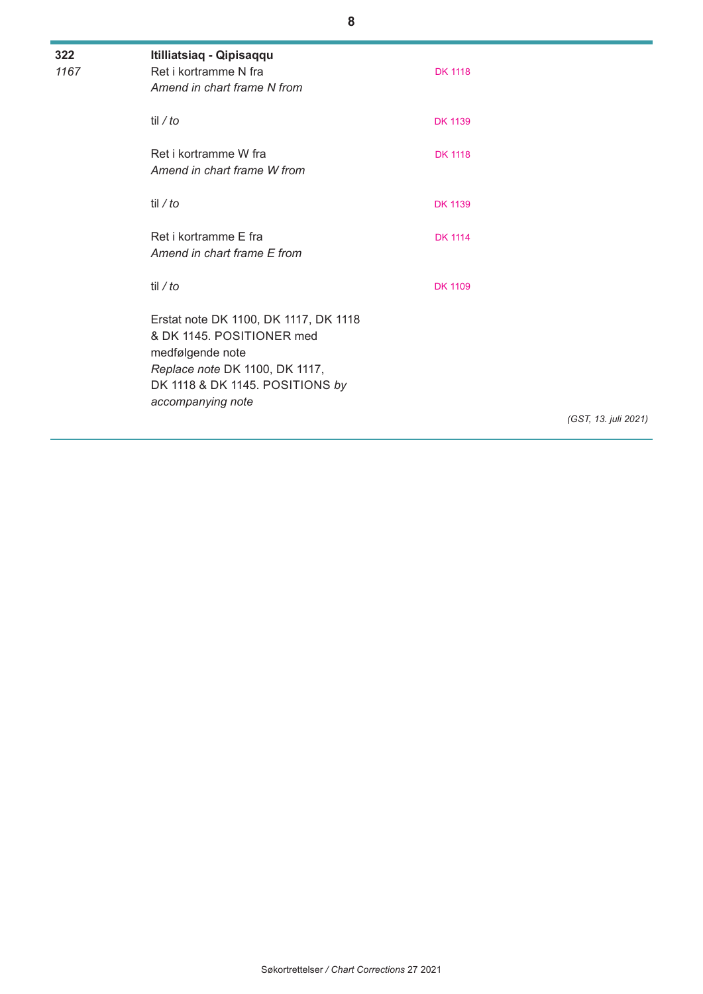| 322<br>1167 | Itilliatsiaq - Qipisaqqu<br>Ret i kortramme N fra<br>Amend in chart frame N from                                                                                                 | <b>DK 1118</b> |                      |
|-------------|----------------------------------------------------------------------------------------------------------------------------------------------------------------------------------|----------------|----------------------|
|             | til / to                                                                                                                                                                         | <b>DK 1139</b> |                      |
|             | Ret i kortramme W fra<br>Amend in chart frame W from                                                                                                                             | <b>DK 1118</b> |                      |
|             | til / $to$                                                                                                                                                                       | <b>DK 1139</b> |                      |
|             | Ret i kortramme F fra<br>Amend in chart frame E from                                                                                                                             | <b>DK 1114</b> |                      |
|             | til / $to$                                                                                                                                                                       | <b>DK 1109</b> |                      |
|             | Erstat note DK 1100, DK 1117, DK 1118<br>& DK 1145. POSITIONER med<br>medfølgende note<br>Replace note DK 1100, DK 1117,<br>DK 1118 & DK 1145. POSITIONS by<br>accompanying note |                |                      |
|             |                                                                                                                                                                                  |                | (GST, 13. juli 2021) |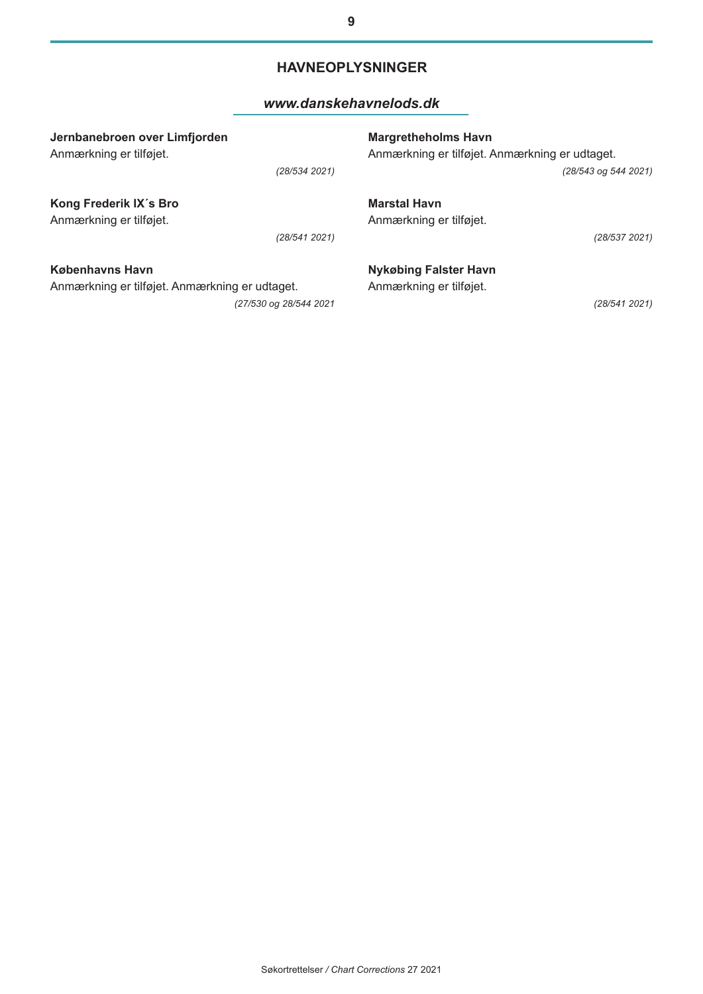### **HAVNEOPLYSNINGER**

#### *[www.danskehavnelods.dk](http://www.danskehavnelods.dk/)*

| Jernbanebroen over Limfjorden                  | <b>Margretheholms Havn</b>                     |
|------------------------------------------------|------------------------------------------------|
| Anmærkning er tilføjet.                        | Anmærkning er tilføjet. Anmærkning er udtaget. |
| (28/534 2021)                                  | (28/543 og 544 2021)                           |
| Kong Frederik IX's Bro                         | <b>Marstal Havn</b>                            |
| Anmærkning er tilføjet.                        | Anmærkning er tilføjet.                        |
| (28/541 2021)                                  | (28/537 2021)                                  |
| Københavns Havn                                | <b>Nykøbing Falster Havn</b>                   |
| Anmærkning er tilføjet. Anmærkning er udtaget. | Anmærkning er tilføjet.                        |
| (27/530 og 28/544 2021                         | (28/541 2021)                                  |

**9**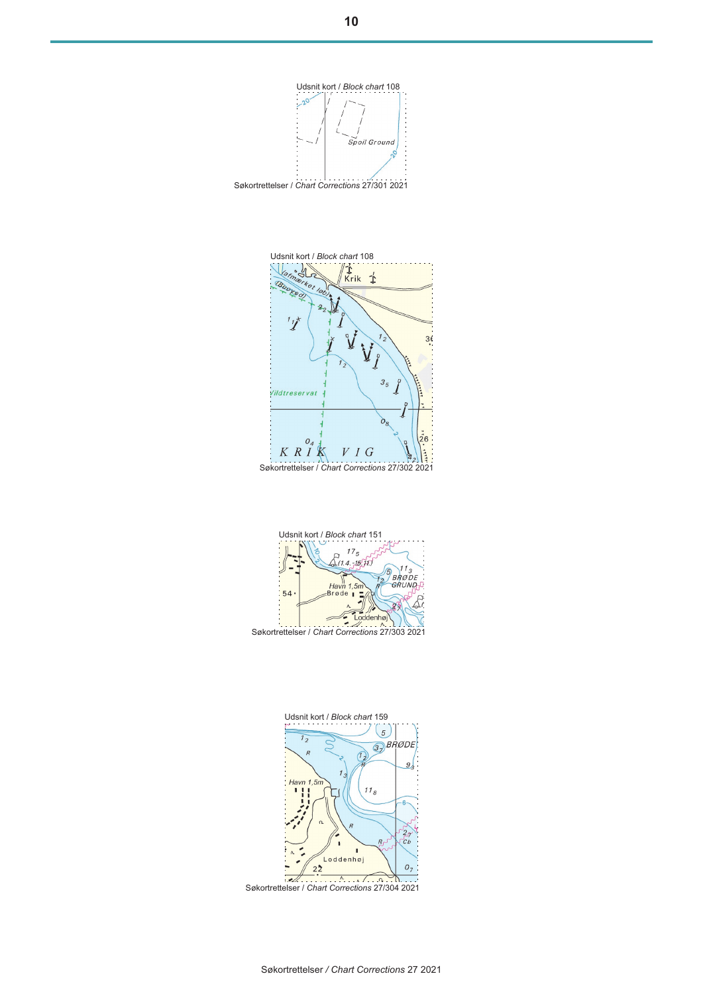Udsnit kort / *Block chart* 108 Spoil Ground Søkortrettelser / *Chart Corrections* 27/301 2021







Søkortrettelser / *Chart Corrections* 27/304 2021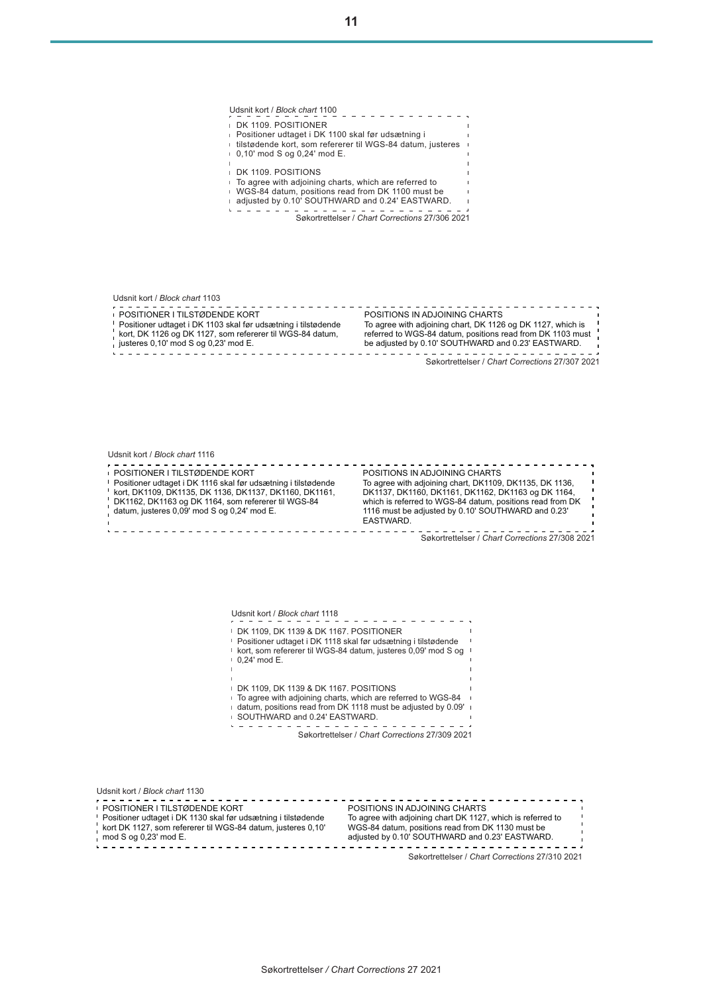Udsnit kort / *Block chart* 1100 DK 1109. POSITIONER Positioner udtaget i DK 1100 skal før udsætning i tilstødende kort, som refererer til WGS-84 datum, justeres 0,10' mod S og 0,24' mod E. DK 1109. POSITIONS To agree with adjoining charts, which are referred to WGS-84 datum, positions read from DK 1100 must be adjusted by 0.10' SOUTHWARD and 0.24' EASTWARD. Søkortrettelser / *Chart Corrections* 27/306 2021 Udsnit kort / *Block chart* 1103 - - - - - - - - - -. . . . . . . . . . POSITIONER I TILSTØDENDE KORT POSITIONS IN ADJOINING CHARTS Positioner udtaget i DK 1103 skal før udsætning i tilstødende To agree with adjoining chart, DK 1126 og DK 1127, which is kort, DK 1126 og DK 1127, som refererer til WGS-84 datum, referred to WGS-84 datum, positions read from DK 1103 must justeres 0,10' mod S og 0,23' mod E. be adjusted by 0.10' SOUTHWARD and 0.23' EASTWARD. . . . . . . . . . Søkortrettelser / *Chart Corrections* 27/307 2021 Udsnit kort / *Block chart* 1116 POSITIONER I TILSTØDENDE KORT POSITIONS IN ADJOINING CHARTS To agree with adjoining chart, DK1109, DK1135, DK 1136, Positioner udtaget i DK 1116 skal før udsætning i tilstødende kort, DK1109, DK1135, DK 1136, DK1137, DK1160, DK1161, DK1137, DK1160, DK1161, DK1162, DK1163 og DK 1164, DK1162, DK1163 og DK 1164, som refererer til WGS-84 which is referred to WGS-84 datum, positions read from DK datum, justeres 0,09' mod S og 0,24' mod E. 1116 must be adjusted by 0.10' SOUTHWARD and 0.23' EASTWARD.  $\frac{1}{2}$ Søkortrettelser / *Chart Corrections* 27/308 2021 Udsnit kort / *Block chart* 1118 DK 1109, DK 1139 & DK 1167. POSITIONER Positioner udtaget i DK 1118 skal før udsætning i tilstødende kort, som refererer til WGS-84 datum, justeres 0,09' mod S og 0,24' mod E. DK 1109, DK 1139 & DK 1167. POSITIONS To agree with adjoining charts, which are referred to WGS-84 datum, positions read from DK 1118 must be adjusted by 0.09' SOUTHWARD and 0.24' EASTWARD.  $\mathbf{L} \cdot \mathbf{L} \cdot \mathbf{L} \cdot \mathbf{L} \cdot \mathbf{L} \cdot \mathbf{L} \cdot \mathbf{L} \cdot \mathbf{L}$ Søkortrettelser / *Chart Corrections* 27/309 2021 Udsnit kort / *Block chart* 1130 POSITIONER I TILSTØDENDE KORT POSITIONS IN ADJOINING CHARTS Positioner udtaget i DK 1130 skal før udsætning i tilstødende To agree with adjoining chart DK 1127, which is referred to kort DK 1127, som refererer til WGS-84 datum, justeres 0,10' WGS-84 datum, positions read from DK 1130 must be mod S og 0,23' mod E.<br> $= 22.5 = 22.5 = 22.5 = 22.5$ adjusted by 0.10' SOUTHWARD and 0.23' EASTWARD.<br> $\frac{1}{2}$ 

Søkortrettelser / *Chart Corrections* 27/310 2021

<u>. . . . . . . . . . . . . .</u>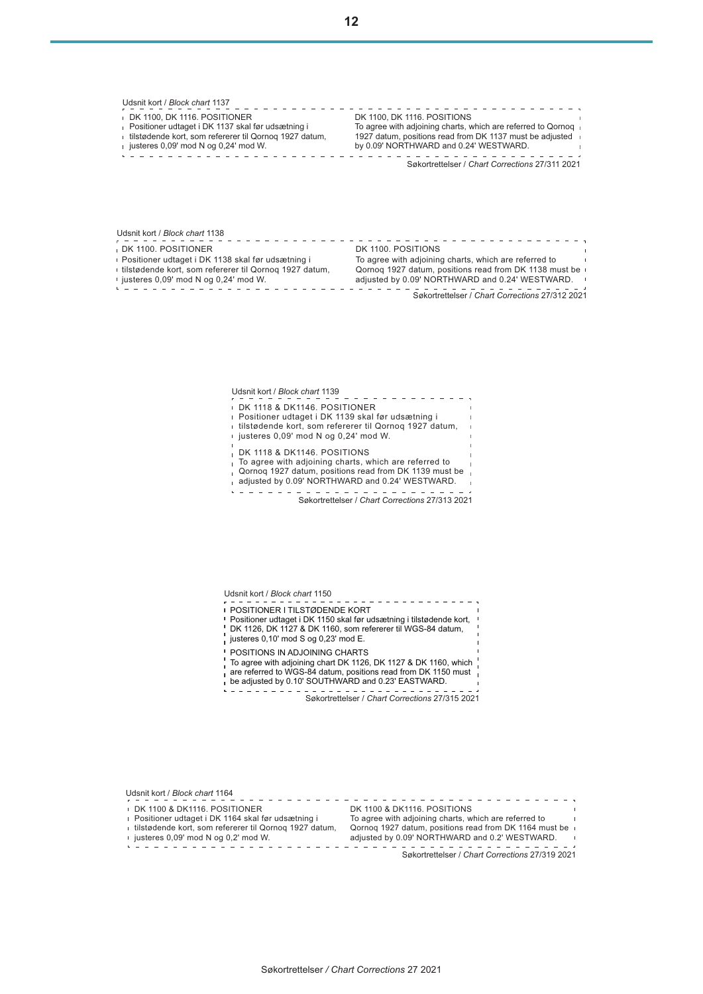Udsnit kort / *Block chart* 1137 DK 1100, DK 1116. POSITIONER DK 1100, DK 1116. POSITIONS Positioner udtaget i DK 1137 skal før udsætning i To agree with adjoining charts, which are referred to Qornoq tilstødende kort, som refererer til Qornoq 1927 datum, 1927 datum, positions read from DK 1137 must be adjusted justeres 0,09' mod N og 0,24' mod W. by 0.09' NORTHWARD and 0.24' WESTWARD.  $\sim$  1 . . . . . . . . . . . . . . . Søkortrettelser / *Chart Corrections* 27/311 2021

Udsnit kort / *Block chart* 1138 . . . . . . . . . . . . DK 1100. POSITIONER DK 1100. POSITIONS Positioner udtaget i DK 1138 skal før udsætning i To agree with adjoining charts, which are referred to Qornoq 1927 datum, positions read from DK 1138 must be tilstødende kort, som refererer til Qornoq 1927 datum, adjusted by 0.09' NORTHWARD and 0.24' WESTWARD. justeres 0,09' mod N og 0,24' mod W. Søkortrettelser / *Chart Corrections* 27/312 2021  $\label{eq:2.1} \begin{array}{cccccccccccccc} \cdots & \cdots & \cdots & \cdots & \cdots \end{array}$ 

> Udsnit kort / *Block chart* 1139 DK 1118 & DK1146. POSITIONER Positioner udtaget i DK 1139 skal før udsætning i tilstødende kort, som refererer til Qornoq 1927 datum, justeres 0,09' mod N og 0,24' mod W. DK 1118 & DK1146. POSITIONS  $\mathbf{I}$ To agree with adjoining charts, which are referred to  $\mathbf{I}$ Qornoq 1927 datum, positions read from DK 1139 must be adjusted by 0.09' NORTHWARD and 0.24' WESTWARD. in a change of Søkortrettelser / *Chart Corrections* 27/313 2021

POSITIONER I TILSTØDENDE KORT Positioner udtaget i DK 1150 skal før udsætning i tilstødende kort, DK 1126, DK 1127 & DK 1160, som refererer til WGS-84 datum, justeres  $0,10'$  mod S og  $0,23'$  mod E. POSITIONS IN ADJOINING CHARTS To agree with adjoining chart DK 1126, DK 1127 & DK 1160, which are referred to WGS-84 datum, positions read from DK 1150 must be adjusted by 0.10' SOUTHWARD and 0.23' EASTWARD.. . . . . . . . . . Søkortrettelser / *Chart Corrections* 27/315 2021

Udsnit kort / *Block chart* 1150

Udsnit kort / *Block chart* 1164 Søkortrettelser / *Chart Corrections* 27/319 2021 DK 1100 & DK1116. POSITIONER Positioner udtaget i DK 1164 skal før udsætning i tilstødende kort, som refererer til Qornoq 1927 datum, Qornoq 1927 datum, positions read from DK 1164 must be justeres 0,09' mod N og 0,2' mod W.<br>  $\frac{1}{2}$  =  $\frac{1}{2}$  =  $\frac{1}{2}$  =  $\frac{1}{2}$  =  $\frac{1}{2}$  =  $\frac{1}{2}$  =  $\frac{1}{2}$  =  $\frac{1}{2}$  =  $\frac{1}{2}$  =  $\frac{1}{2}$  =  $\frac{1}{2}$  =  $\frac{1}{2}$  =  $\frac{1}{2}$  =  $\frac{1}{2}$  =  $\frac{1}{2}$  =  $\frac{$ DK 1100 & DK1116. POSITIONS To agree with adjoining charts, which are referred to adjusted by 0.09' NORTHWARD and 0.2' WESTWARD.